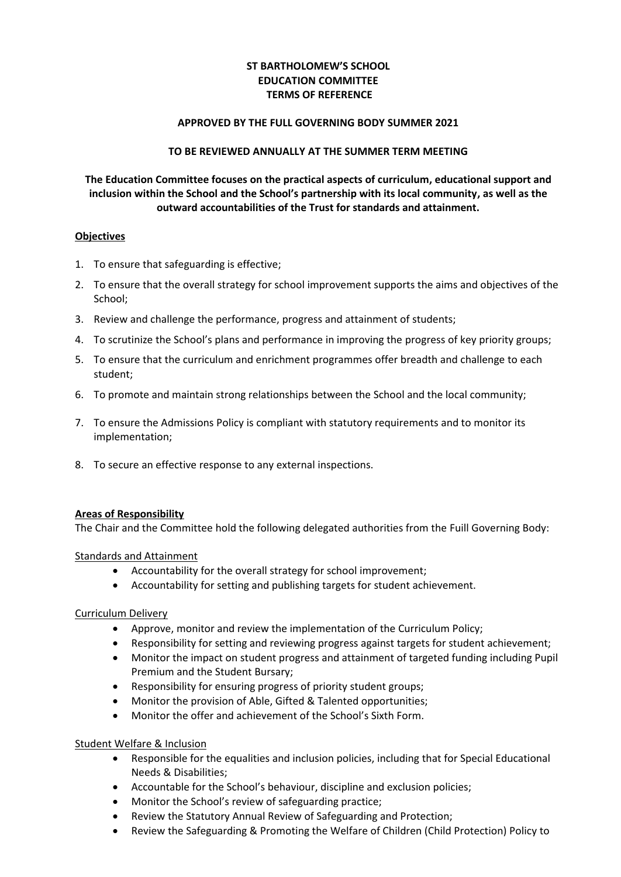# **ST BARTHOLOMEW'S SCHOOL EDUCATION COMMITTEE TERMS OF REFERENCE**

#### **APPROVED BY THE FULL GOVERNING BODY SUMMER 2021**

#### **TO BE REVIEWED ANNUALLY AT THE SUMMER TERM MEETING**

# **The Education Committee focuses on the practical aspects of curriculum, educational support and inclusion within the School and the School's partnership with its local community, as well as the outward accountabilities of the Trust for standards and attainment.**

### **Objectives**

- 1. To ensure that safeguarding is effective;
- 2. To ensure that the overall strategy for school improvement supports the aims and objectives of the School;
- 3. Review and challenge the performance, progress and attainment of students;
- 4. To scrutinize the School's plans and performance in improving the progress of key priority groups;
- 5. To ensure that the curriculum and enrichment programmes offer breadth and challenge to each student;
- 6. To promote and maintain strong relationships between the School and the local community;
- 7. To ensure the Admissions Policy is compliant with statutory requirements and to monitor its implementation;
- 8. To secure an effective response to any external inspections.

# **Areas of Responsibility**

The Chair and the Committee hold the following delegated authorities from the Fuill Governing Body:

#### Standards and Attainment

- Accountability for the overall strategy for school improvement;
- Accountability for setting and publishing targets for student achievement.

# Curriculum Delivery

- Approve, monitor and review the implementation of the Curriculum Policy;
- Responsibility for setting and reviewing progress against targets for student achievement;
- Monitor the impact on student progress and attainment of targeted funding including Pupil Premium and the Student Bursary;
- Responsibility for ensuring progress of priority student groups;
- Monitor the provision of Able, Gifted & Talented opportunities;
- Monitor the offer and achievement of the School's Sixth Form.

## Student Welfare & Inclusion

- Responsible for the equalities and inclusion policies, including that for Special Educational Needs & Disabilities;
- Accountable for the School's behaviour, discipline and exclusion policies;
- Monitor the School's review of safeguarding practice;
- Review the Statutory Annual Review of Safeguarding and Protection;
- Review the Safeguarding & Promoting the Welfare of Children (Child Protection) Policy to